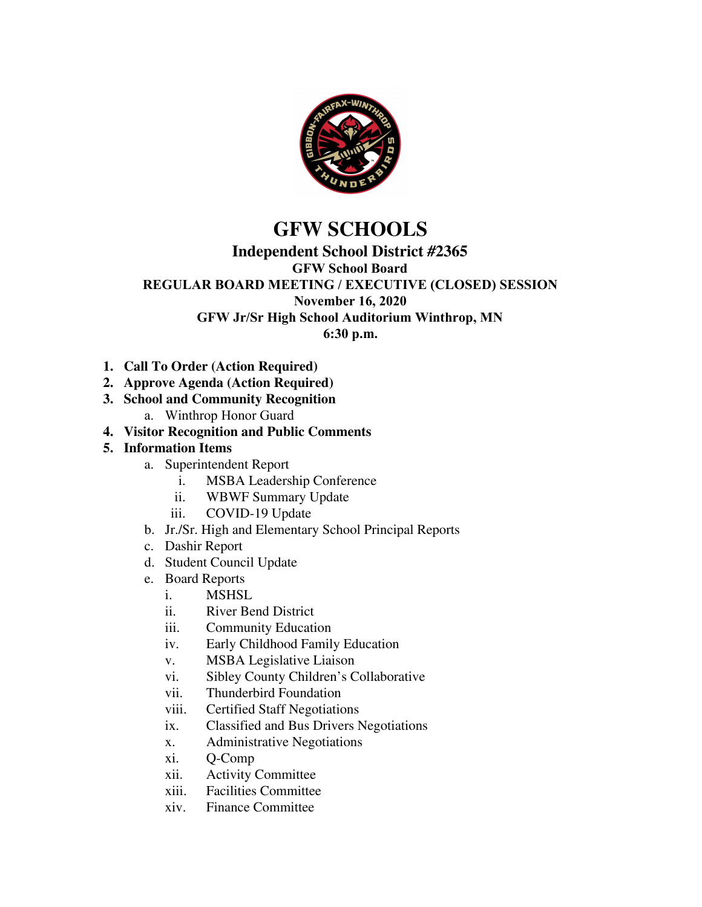

# **GFW SCHOOLS**

#### **Independent School District #2365**

**GFW School Board**

# **REGULAR BOARD MEETING / EXECUTIVE (CLOSED) SESSION**

#### **November 16, 2020**

**GFW Jr/Sr High School Auditorium Winthrop, MN**

**6:30 p.m.**

- **1. Call To Order (Action Required)**
- **2. Approve Agenda (Action Required)**
- **3. School and Community Recognition**
	- a. Winthrop Honor Guard
- **4. Visitor Recognition and Public Comments**

#### **5. Information Items**

- a. Superintendent Report
	- i. MSBA Leadership Conference
	- ii. WBWF Summary Update
	- iii. COVID-19 Update
- b. Jr./Sr. High and Elementary School Principal Reports
- c. Dashir Report
- d. Student Council Update
- e. Board Reports
	- i. MSHSL
	- ii. River Bend District
	- iii. Community Education
	- iv. Early Childhood Family Education
	- v. MSBA Legislative Liaison
	- vi. Sibley County Children's Collaborative
	- vii. Thunderbird Foundation
	- viii. Certified Staff Negotiations
	- ix. Classified and Bus Drivers Negotiations
	- x. Administrative Negotiations
	- xi. Q-Comp
	- xii. Activity Committee
	- xiii. Facilities Committee
	- xiv. Finance Committee